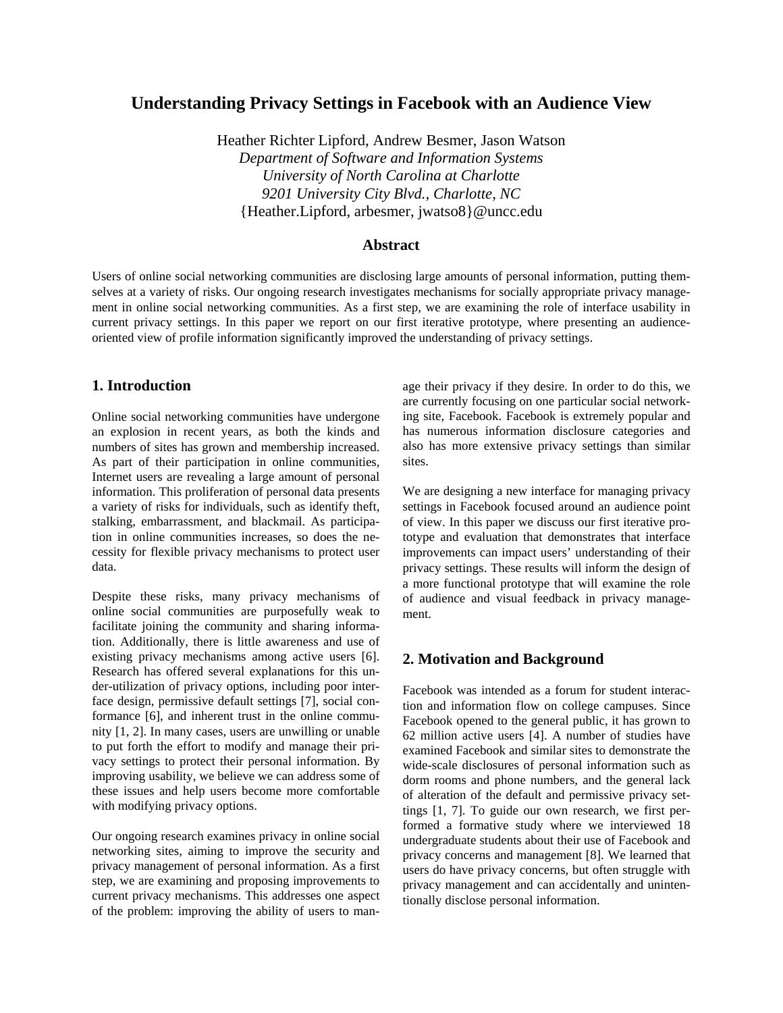# **Understanding Privacy Settings in Facebook with an Audience View**

Heather Richter Lipford, Andrew Besmer, Jason Watson *Department of Software and Information Systems University of North Carolina at Charlotte 9201 University City Blvd., Charlotte, NC*  {Heather.Lipford, arbesmer, jwatso8}@uncc.edu

# **Abstract**

Users of online social networking communities are disclosing large amounts of personal information, putting themselves at a variety of risks. Our ongoing research investigates mechanisms for socially appropriate privacy management in online social networking communities. As a first step, we are examining the role of interface usability in current privacy settings. In this paper we report on our first iterative prototype, where presenting an audienceoriented view of profile information significantly improved the understanding of privacy settings.

## **1. Introduction**

Online social networking communities have undergone an explosion in recent years, as both the kinds and numbers of sites has grown and membership increased. As part of their participation in online communities, Internet users are revealing a large amount of personal information. This proliferation of personal data presents a variety of risks for individuals, such as identify theft, stalking, embarrassment, and blackmail. As participation in online communities increases, so does the necessity for flexible privacy mechanisms to protect user data.

Despite these risks, many privacy mechanisms of online social communities are purposefully weak to facilitate joining the community and sharing information. Additionally, there is little awareness and use of existing privacy mechanisms among active users [6]. Research has offered several explanations for this under-utilization of privacy options, including poor interface design, permissive default settings [7], social conformance [6], and inherent trust in the online community [1, 2]. In many cases, users are unwilling or unable to put forth the effort to modify and manage their privacy settings to protect their personal information. By improving usability, we believe we can address some of these issues and help users become more comfortable with modifying privacy options.

Our ongoing research examines privacy in online social networking sites, aiming to improve the security and privacy management of personal information. As a first step, we are examining and proposing improvements to current privacy mechanisms. This addresses one aspect of the problem: improving the ability of users to manage their privacy if they desire. In order to do this, we are currently focusing on one particular social networking site, Facebook. Facebook is extremely popular and has numerous information disclosure categories and also has more extensive privacy settings than similar sites.

We are designing a new interface for managing privacy settings in Facebook focused around an audience point of view. In this paper we discuss our first iterative prototype and evaluation that demonstrates that interface improvements can impact users' understanding of their privacy settings. These results will inform the design of a more functional prototype that will examine the role of audience and visual feedback in privacy management.

## **2. Motivation and Background**

Facebook was intended as a forum for student interaction and information flow on college campuses. Since Facebook opened to the general public, it has grown to 62 million active users [4]. A number of studies have examined Facebook and similar sites to demonstrate the wide-scale disclosures of personal information such as dorm rooms and phone numbers, and the general lack of alteration of the default and permissive privacy settings [1, 7]. To guide our own research, we first performed a formative study where we interviewed 18 undergraduate students about their use of Facebook and privacy concerns and management [8]. We learned that users do have privacy concerns, but often struggle with privacy management and can accidentally and unintentionally disclose personal information.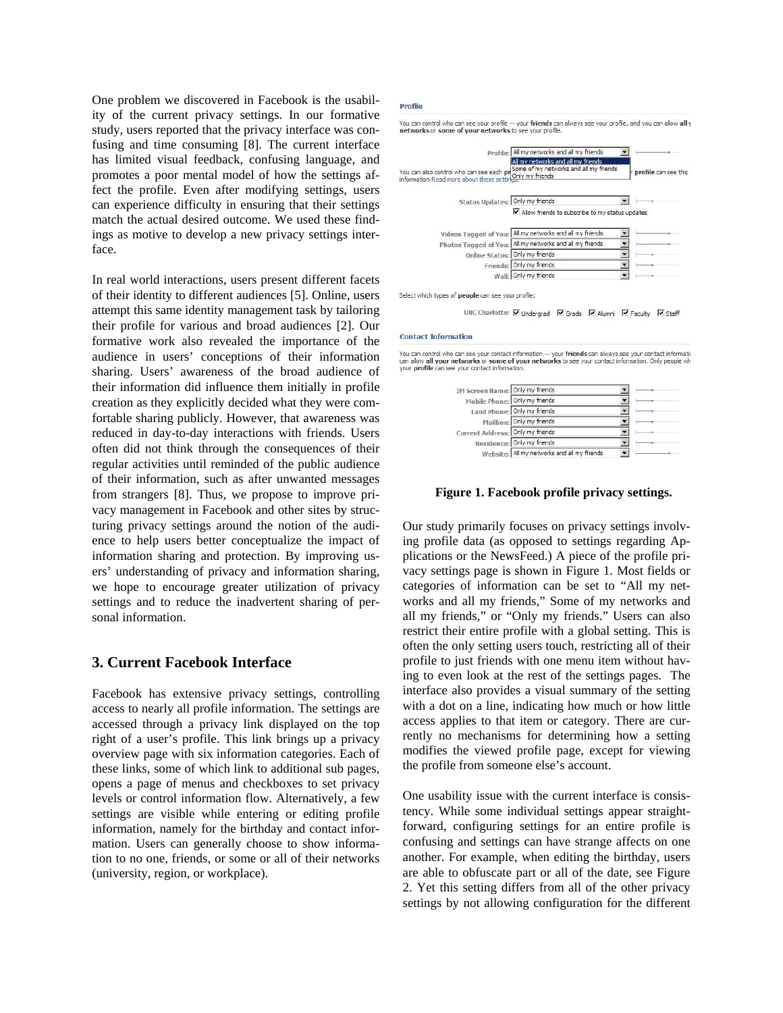One problem we discovered in Facebook is the usability of the current privacy settings. In our formative study, users reported that the privacy interface was confusing and time consuming [8]. The current interface has limited visual feedback, confusing language, and promotes a poor mental model of how the settings affect the profile. Even after modifying settings, users can experience difficulty in ensuring that their settings match the actual desired outcome. We used these findings as motive to develop a new privacy settings interface.

In real world interactions, users present different facets of their identity to different audiences [5]. Online, users attempt this same identity management task by tailoring their profile for various and broad audiences [2]. Our formative work also revealed the importance of the audience in users' conceptions of their information sharing. Users' awareness of the broad audience of their information did influence them initially in profile creation as they explicitly decided what they were comfortable sharing publicly. However, that awareness was reduced in day-to-day interactions with friends. Users often did not think through the consequences of their regular activities until reminded of the public audience of their information, such as after unwanted messages from strangers [8]. Thus, we propose to improve privacy management in Facebook and other sites by structuring privacy settings around the notion of the audience to help users better conceptualize the impact of information sharing and protection. By improving users' understanding of privacy and information sharing, we hope to encourage greater utilization of privacy settings and to reduce the inadvertent sharing of personal information.

## **3. Current Facebook Interface**

Facebook has extensive privacy settings, controlling access to nearly all profile information. The settings are accessed through a privacy link displayed on the top right of a user's profile. This link brings up a privacy overview page with six information categories. Each of these links, some of which link to additional sub pages, opens a page of menus and checkboxes to set privacy levels or control information flow. Alternatively, a few settings are visible while entering or editing profile information, namely for the birthday and contact information. Users can generally choose to show information to no one, friends, or some or all of their networks (university, region, or workplace).

#### **Profile**

|                                                                                      | Profile: All my networks and all my friends                                                     |                             |
|--------------------------------------------------------------------------------------|-------------------------------------------------------------------------------------------------|-----------------------------|
| You can also control who can see each pr<br>information.Read more about these settin | All my networks and all my friends<br>Some of my networks and all my friends<br>Only my friends | <b>profile</b> can see this |
| Status Updates: Only my friends                                                      |                                                                                                 |                             |
|                                                                                      | $\triangledown$ Allow friends to subscribe to my status updates                                 |                             |
|                                                                                      |                                                                                                 |                             |
|                                                                                      | Videos Tagged of You: All my networks and all my friends                                        |                             |
|                                                                                      | Photos Tagged of You: All my networks and all my friends                                        |                             |
| Online Status: Only my friends                                                       |                                                                                                 |                             |
|                                                                                      | Friends: Only my friends                                                                        |                             |

UNC Charlotte: V Undergrad V Grads V Alumni V Faculty V Staff

#### **Contact Information**

You can control who can see your contact information — your friends can always see your contact information<br>can allow all your networks or some of your networks to see your contact information. Only people wh<br>your profile

| IM Screen Name: Only my friends  |                                             |  |
|----------------------------------|---------------------------------------------|--|
|                                  | Mobile Phone: Only my friends               |  |
|                                  | Land Phone: Only my friends                 |  |
|                                  | Mailbox: Only my friends                    |  |
| Current Address: Only my friends |                                             |  |
|                                  | Residence: Only my friends                  |  |
|                                  | Website: All my networks and all my friends |  |

**Figure 1. Facebook profile privacy settings.** 

Our study primarily focuses on privacy settings involving profile data (as opposed to settings regarding Applications or the NewsFeed.) A piece of the profile privacy settings page is shown in Figure 1. Most fields or categories of information can be set to "All my networks and all my friends," Some of my networks and all my friends," or "Only my friends." Users can also restrict their entire profile with a global setting. This is often the only setting users touch, restricting all of their profile to just friends with one menu item without having to even look at the rest of the settings pages. The interface also provides a visual summary of the setting with a dot on a line, indicating how much or how little access applies to that item or category. There are currently no mechanisms for determining how a setting modifies the viewed profile page, except for viewing the profile from someone else's account.

One usability issue with the current interface is consistency. While some individual settings appear straightforward, configuring settings for an entire profile is confusing and settings can have strange affects on one another. For example, when editing the birthday, users are able to obfuscate part or all of the date, see Figure 2. Yet this setting differs from all of the other privacy settings by not allowing configuration for the different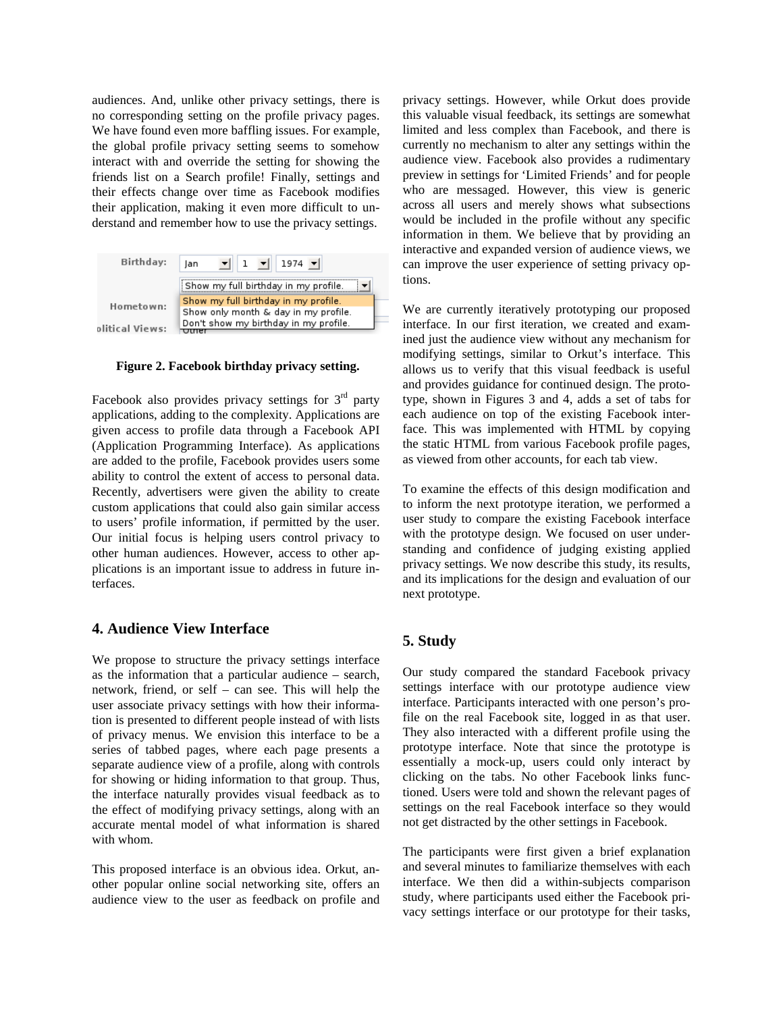audiences. And, unlike other privacy settings, there is no corresponding setting on the profile privacy pages. We have found even more baffling issues. For example, the global profile privacy setting seems to somehow interact with and override the setting for showing the friends list on a Search profile! Finally, settings and their effects change over time as Facebook modifies their application, making it even more difficult to understand and remember how to use the privacy settings.



**Figure 2. Facebook birthday privacy setting.** 

Facebook also provides privacy settings for  $3<sup>rd</sup>$  party applications, adding to the complexity. Applications are given access to profile data through a Facebook API (Application Programming Interface). As applications are added to the profile, Facebook provides users some ability to control the extent of access to personal data. Recently, advertisers were given the ability to create custom applications that could also gain similar access to users' profile information, if permitted by the user. Our initial focus is helping users control privacy to other human audiences. However, access to other applications is an important issue to address in future interfaces.

# **4. Audience View Interface**

We propose to structure the privacy settings interface as the information that a particular audience – search, network, friend, or self – can see. This will help the user associate privacy settings with how their information is presented to different people instead of with lists of privacy menus. We envision this interface to be a series of tabbed pages, where each page presents a separate audience view of a profile, along with controls for showing or hiding information to that group. Thus, the interface naturally provides visual feedback as to the effect of modifying privacy settings, along with an accurate mental model of what information is shared with whom.

This proposed interface is an obvious idea. Orkut, another popular online social networking site, offers an audience view to the user as feedback on profile and privacy settings. However, while Orkut does provide this valuable visual feedback, its settings are somewhat limited and less complex than Facebook, and there is currently no mechanism to alter any settings within the audience view. Facebook also provides a rudimentary preview in settings for 'Limited Friends' and for people who are messaged. However, this view is generic across all users and merely shows what subsections would be included in the profile without any specific information in them. We believe that by providing an interactive and expanded version of audience views, we can improve the user experience of setting privacy options.

We are currently iteratively prototyping our proposed interface. In our first iteration, we created and examined just the audience view without any mechanism for modifying settings, similar to Orkut's interface. This allows us to verify that this visual feedback is useful and provides guidance for continued design. The prototype, shown in Figures 3 and 4, adds a set of tabs for each audience on top of the existing Facebook interface. This was implemented with HTML by copying the static HTML from various Facebook profile pages, as viewed from other accounts, for each tab view.

To examine the effects of this design modification and to inform the next prototype iteration, we performed a user study to compare the existing Facebook interface with the prototype design. We focused on user understanding and confidence of judging existing applied privacy settings. We now describe this study, its results, and its implications for the design and evaluation of our next prototype.

# **5. Study**

Our study compared the standard Facebook privacy settings interface with our prototype audience view interface. Participants interacted with one person's profile on the real Facebook site, logged in as that user. They also interacted with a different profile using the prototype interface. Note that since the prototype is essentially a mock-up, users could only interact by clicking on the tabs. No other Facebook links functioned. Users were told and shown the relevant pages of settings on the real Facebook interface so they would not get distracted by the other settings in Facebook.

The participants were first given a brief explanation and several minutes to familiarize themselves with each interface. We then did a within-subjects comparison study, where participants used either the Facebook privacy settings interface or our prototype for their tasks,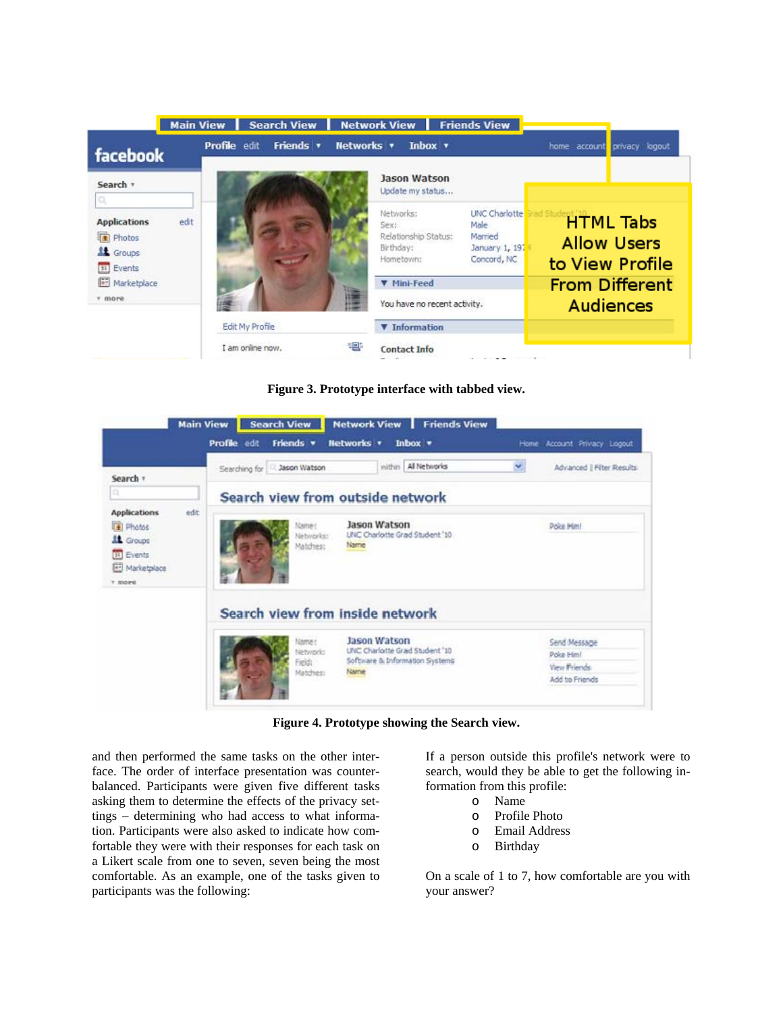| facebook                                                                    | <b>Search View</b><br><b>Main View</b><br>Friends <b>v</b><br><b>Profile</b> edit | <b>Network View</b><br><b>Friends View</b><br><b>Networks v</b><br>Inbox $\mathbf{v}$                                                            | home account<br>privacy logout                            |
|-----------------------------------------------------------------------------|-----------------------------------------------------------------------------------|--------------------------------------------------------------------------------------------------------------------------------------------------|-----------------------------------------------------------|
| Search v                                                                    |                                                                                   | <b>Jason Watson</b><br>Update my status                                                                                                          |                                                           |
| a<br><b>Applications</b><br>edit<br>Photos<br><b>11</b> Groups<br>31 Events |                                                                                   | <b>UNC Charlotte</b><br>Networks:<br>Male.<br>Sex:<br>Relationship Status:<br>Married<br>Birthday:<br>January 1, 197<br>Concord, NC<br>Hometown: | <b>HTML Tabs</b><br><b>Allow Users</b><br>to View Profile |
| <b>Marketplace</b><br>* more                                                |                                                                                   | <b>V</b> Mini-Feed<br>You have no recent activity.                                                                                               | <b>From Different</b><br><b>Audiences</b>                 |
|                                                                             | <b>Edit My Profile</b><br>I am online now.                                        | <b>V</b> Information<br><b>Contact Info</b>                                                                                                      |                                                           |

**Figure 3. Prototype interface with tabbed view.** 

|                                                                                                                      | Profile edit<br>Friends v               | <b>Networks v</b><br>Inbox =                                                             | Account Privacy Logout<br>Home.                            |
|----------------------------------------------------------------------------------------------------------------------|-----------------------------------------|------------------------------------------------------------------------------------------|------------------------------------------------------------|
| Search +                                                                                                             | Jason Watson<br>Searching for           | within All Networks                                                                      | ×<br>Advanced   Filter Results                             |
| iO)                                                                                                                  | Search view from outside network        |                                                                                          |                                                            |
| <b>Applications</b><br>edit:<br>Fill Photos<br><b>LE</b> Groups<br><b>B</b> Events<br>Marketplace<br><b>IT BOOMS</b> | Name:<br>Networks:<br>Matches:          | Jason Watson<br>UNC Charlotte Grad Student '10<br>Name                                   | Dolca Himi                                                 |
|                                                                                                                      | Search view from inside network         |                                                                                          |                                                            |
|                                                                                                                      | Name:<br>Networks<br>Field:<br>Matches: | Jason Watson<br>UNC Charlotte Grad Student '10<br>Software & Information Systems<br>Name | Send Message<br>Poke Hml<br>View Friends<br>Add to Friends |

**Figure 4. Prototype showing the Search view.** 

and then performed the same tasks on the other interface. The order of interface presentation was counterbalanced. Participants were given five different tasks asking them to determine the effects of the privacy settings – determining who had access to what information. Participants were also asked to indicate how comfortable they were with their responses for each task on a Likert scale from one to seven, seven being the most comfortable. As an example, one of the tasks given to participants was the following:

If a person outside this profile's network were to search, would they be able to get the following information from this profile:

- o Name
- o Profile Photo
- o Email Address
- o Birthday

On a scale of 1 to 7, how comfortable are you with your answer?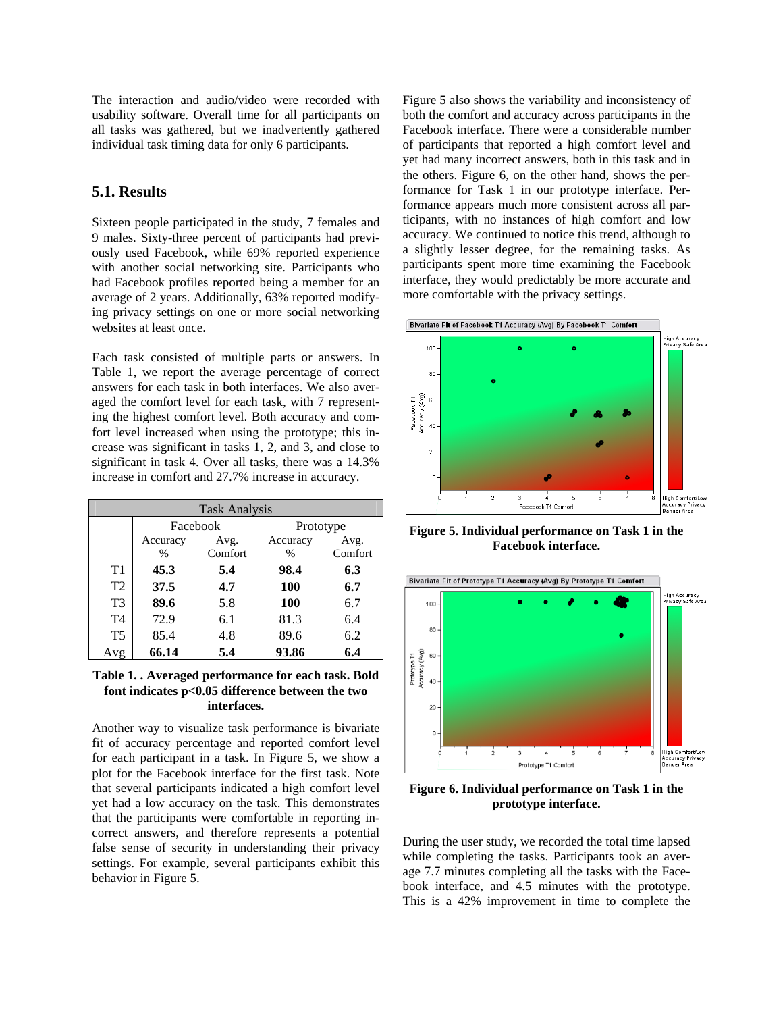The interaction and audio/video were recorded with usability software. Overall time for all participants on all tasks was gathered, but we inadvertently gathered individual task timing data for only 6 participants.

# **5.1. Results**

Sixteen people participated in the study, 7 females and 9 males. Sixty-three percent of participants had previously used Facebook, while 69% reported experience with another social networking site. Participants who had Facebook profiles reported being a member for an average of 2 years. Additionally, 63% reported modifying privacy settings on one or more social networking websites at least once.

Each task consisted of multiple parts or answers. In Table 1, we report the average percentage of correct answers for each task in both interfaces. We also averaged the comfort level for each task, with 7 representing the highest comfort level. Both accuracy and comfort level increased when using the prototype; this increase was significant in tasks 1, 2, and 3, and close to significant in task 4. Over all tasks, there was a 14.3% increase in comfort and 27.7% increase in accuracy.

| <b>Task Analysis</b> |               |         |               |         |
|----------------------|---------------|---------|---------------|---------|
|                      | Facebook      |         | Prototype     |         |
|                      | Accuracy      | Avg.    | Accuracy      | Avg.    |
|                      | $\frac{0}{0}$ | Comfort | $\frac{0}{0}$ | Comfort |
| T1                   | 45.3          | 5.4     | 98.4          | 6.3     |
| T <sub>2</sub>       | 37.5          | 4.7     | 100           | 6.7     |
| T <sub>3</sub>       | 89.6          | 5.8     | 100           | 6.7     |
| T <sub>4</sub>       | 72.9          | 6.1     | 81.3          | 6.4     |
| T <sub>5</sub>       | 85.4          | 4.8     | 89.6          | 6.2     |
| Avg                  | 66.14         | 5.4     | 93.86         | 6.4     |

### **Table 1. . Averaged performance for each task. Bold font indicates p<0.05 difference between the two interfaces.**

Another way to visualize task performance is bivariate fit of accuracy percentage and reported comfort level for each participant in a task. In Figure 5, we show a plot for the Facebook interface for the first task. Note that several participants indicated a high comfort level yet had a low accuracy on the task. This demonstrates that the participants were comfortable in reporting incorrect answers, and therefore represents a potential false sense of security in understanding their privacy settings. For example, several participants exhibit this behavior in Figure 5.

Figure 5 also shows the variability and inconsistency of both the comfort and accuracy across participants in the Facebook interface. There were a considerable number of participants that reported a high comfort level and yet had many incorrect answers, both in this task and in the others. Figure 6, on the other hand, shows the performance for Task 1 in our prototype interface. Performance appears much more consistent across all participants, with no instances of high comfort and low accuracy. We continued to notice this trend, although to a slightly lesser degree, for the remaining tasks. As participants spent more time examining the Facebook interface, they would predictably be more accurate and more comfortable with the privacy settings.





**Figure 5. Individual performance on Task 1 in the Facebook interface.** 



**Figure 6. Individual performance on Task 1 in the prototype interface.** 

During the user study, we recorded the total time lapsed while completing the tasks. Participants took an average 7.7 minutes completing all the tasks with the Facebook interface, and 4.5 minutes with the prototype. This is a 42% improvement in time to complete the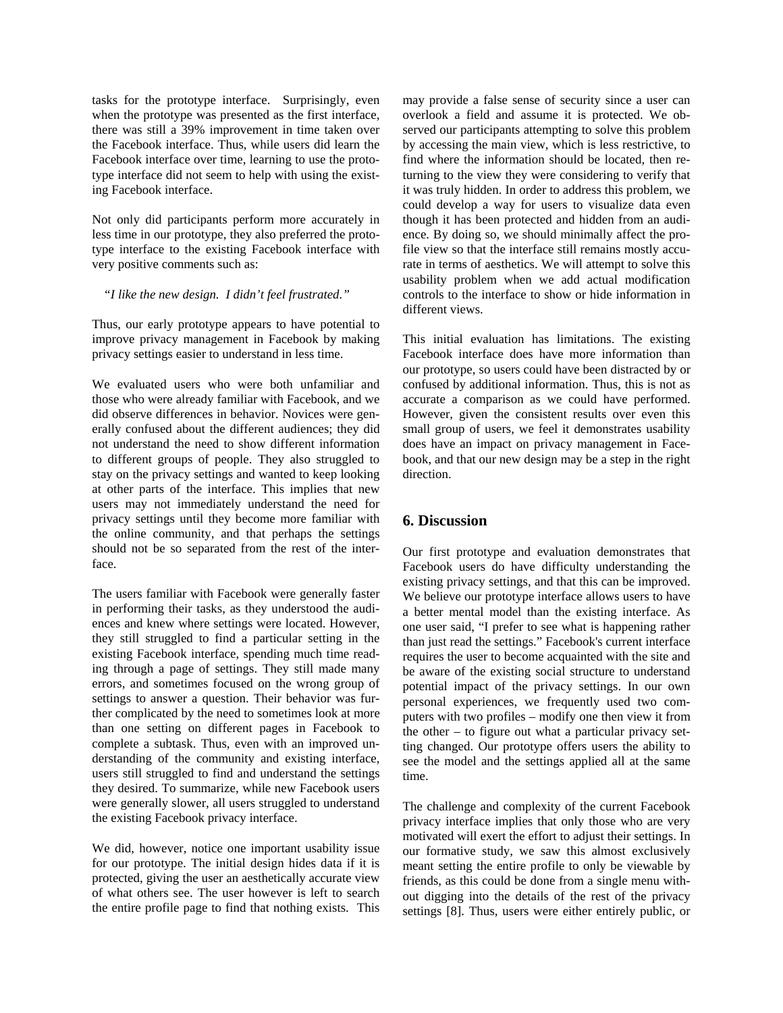tasks for the prototype interface. Surprisingly, even when the prototype was presented as the first interface, there was still a 39% improvement in time taken over the Facebook interface. Thus, while users did learn the Facebook interface over time, learning to use the prototype interface did not seem to help with using the existing Facebook interface.

Not only did participants perform more accurately in less time in our prototype, they also preferred the prototype interface to the existing Facebook interface with very positive comments such as:

*"I like the new design. I didn't feel frustrated."* 

Thus, our early prototype appears to have potential to improve privacy management in Facebook by making privacy settings easier to understand in less time.

We evaluated users who were both unfamiliar and those who were already familiar with Facebook, and we did observe differences in behavior. Novices were generally confused about the different audiences; they did not understand the need to show different information to different groups of people. They also struggled to stay on the privacy settings and wanted to keep looking at other parts of the interface. This implies that new users may not immediately understand the need for privacy settings until they become more familiar with the online community, and that perhaps the settings should not be so separated from the rest of the interface.

The users familiar with Facebook were generally faster in performing their tasks, as they understood the audiences and knew where settings were located. However, they still struggled to find a particular setting in the existing Facebook interface, spending much time reading through a page of settings. They still made many errors, and sometimes focused on the wrong group of settings to answer a question. Their behavior was further complicated by the need to sometimes look at more than one setting on different pages in Facebook to complete a subtask. Thus, even with an improved understanding of the community and existing interface, users still struggled to find and understand the settings they desired. To summarize, while new Facebook users were generally slower, all users struggled to understand the existing Facebook privacy interface.

We did, however, notice one important usability issue for our prototype. The initial design hides data if it is protected, giving the user an aesthetically accurate view of what others see. The user however is left to search the entire profile page to find that nothing exists. This may provide a false sense of security since a user can overlook a field and assume it is protected. We observed our participants attempting to solve this problem by accessing the main view, which is less restrictive, to find where the information should be located, then returning to the view they were considering to verify that it was truly hidden. In order to address this problem, we could develop a way for users to visualize data even though it has been protected and hidden from an audience. By doing so, we should minimally affect the profile view so that the interface still remains mostly accurate in terms of aesthetics. We will attempt to solve this usability problem when we add actual modification controls to the interface to show or hide information in different views.

This initial evaluation has limitations. The existing Facebook interface does have more information than our prototype, so users could have been distracted by or confused by additional information. Thus, this is not as accurate a comparison as we could have performed. However, given the consistent results over even this small group of users, we feel it demonstrates usability does have an impact on privacy management in Facebook, and that our new design may be a step in the right direction.

# **6. Discussion**

Our first prototype and evaluation demonstrates that Facebook users do have difficulty understanding the existing privacy settings, and that this can be improved. We believe our prototype interface allows users to have a better mental model than the existing interface. As one user said, "I prefer to see what is happening rather than just read the settings." Facebook's current interface requires the user to become acquainted with the site and be aware of the existing social structure to understand potential impact of the privacy settings. In our own personal experiences, we frequently used two computers with two profiles – modify one then view it from the other  $-$  to figure out what a particular privacy setting changed. Our prototype offers users the ability to see the model and the settings applied all at the same time.

The challenge and complexity of the current Facebook privacy interface implies that only those who are very motivated will exert the effort to adjust their settings. In our formative study, we saw this almost exclusively meant setting the entire profile to only be viewable by friends, as this could be done from a single menu without digging into the details of the rest of the privacy settings [8]. Thus, users were either entirely public, or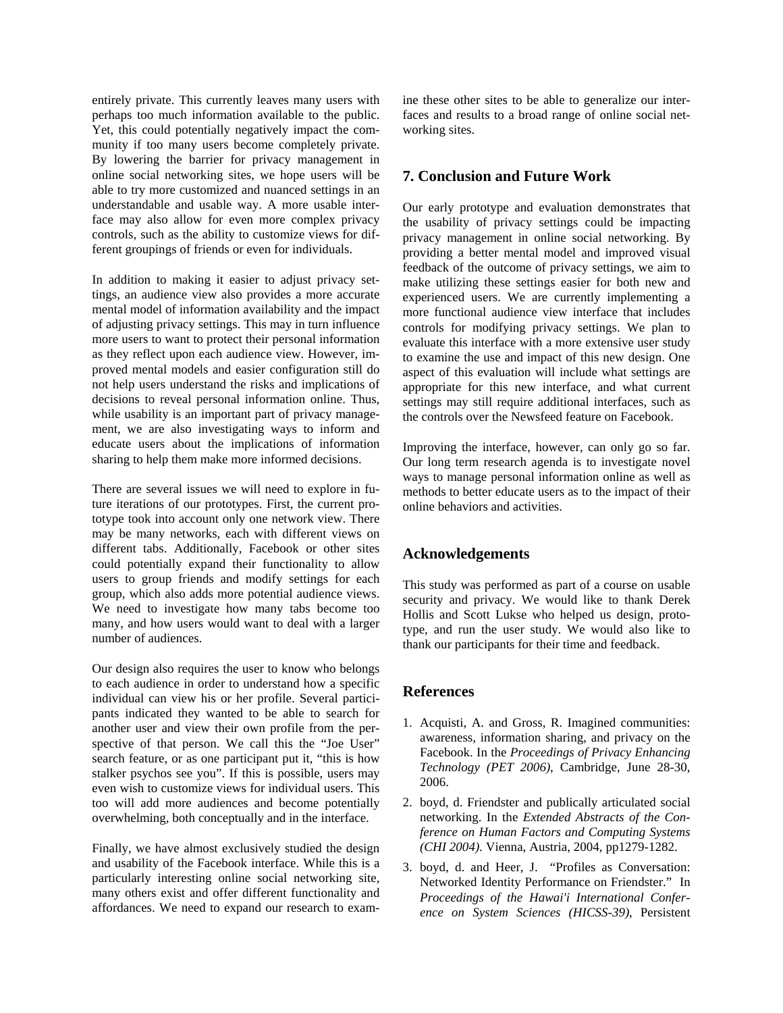entirely private. This currently leaves many users with perhaps too much information available to the public. Yet, this could potentially negatively impact the community if too many users become completely private. By lowering the barrier for privacy management in online social networking sites, we hope users will be able to try more customized and nuanced settings in an understandable and usable way. A more usable interface may also allow for even more complex privacy controls, such as the ability to customize views for different groupings of friends or even for individuals.

In addition to making it easier to adjust privacy settings, an audience view also provides a more accurate mental model of information availability and the impact of adjusting privacy settings. This may in turn influence more users to want to protect their personal information as they reflect upon each audience view. However, improved mental models and easier configuration still do not help users understand the risks and implications of decisions to reveal personal information online. Thus, while usability is an important part of privacy management, we are also investigating ways to inform and educate users about the implications of information sharing to help them make more informed decisions.

There are several issues we will need to explore in future iterations of our prototypes. First, the current prototype took into account only one network view. There may be many networks, each with different views on different tabs. Additionally, Facebook or other sites could potentially expand their functionality to allow users to group friends and modify settings for each group, which also adds more potential audience views. We need to investigate how many tabs become too many, and how users would want to deal with a larger number of audiences.

Our design also requires the user to know who belongs to each audience in order to understand how a specific individual can view his or her profile. Several participants indicated they wanted to be able to search for another user and view their own profile from the perspective of that person. We call this the "Joe User" search feature, or as one participant put it, "this is how stalker psychos see you". If this is possible, users may even wish to customize views for individual users. This too will add more audiences and become potentially overwhelming, both conceptually and in the interface.

Finally, we have almost exclusively studied the design and usability of the Facebook interface. While this is a particularly interesting online social networking site, many others exist and offer different functionality and affordances. We need to expand our research to examine these other sites to be able to generalize our interfaces and results to a broad range of online social networking sites.

# **7. Conclusion and Future Work**

Our early prototype and evaluation demonstrates that the usability of privacy settings could be impacting privacy management in online social networking. By providing a better mental model and improved visual feedback of the outcome of privacy settings, we aim to make utilizing these settings easier for both new and experienced users. We are currently implementing a more functional audience view interface that includes controls for modifying privacy settings. We plan to evaluate this interface with a more extensive user study to examine the use and impact of this new design. One aspect of this evaluation will include what settings are appropriate for this new interface, and what current settings may still require additional interfaces, such as the controls over the Newsfeed feature on Facebook.

Improving the interface, however, can only go so far. Our long term research agenda is to investigate novel ways to manage personal information online as well as methods to better educate users as to the impact of their online behaviors and activities.

## **Acknowledgements**

This study was performed as part of a course on usable security and privacy. We would like to thank Derek Hollis and Scott Lukse who helped us design, prototype, and run the user study. We would also like to thank our participants for their time and feedback.

## **References**

- 1. Acquisti, A. and Gross, R. Imagined communities: awareness, information sharing, and privacy on the Facebook. In the *Proceedings of Privacy Enhancing Technology (PET 2006)*, Cambridge, June 28-30, 2006.
- 2. boyd, d. Friendster and publically articulated social networking. In the *Extended Abstracts of the Conference on Human Factors and Computing Systems (CHI 2004)*. Vienna, Austria, 2004, pp1279-1282.
- 3. boyd, d. and Heer, J. "Profiles as Conversation: Networked Identity Performance on Friendster." In *Proceedings of the Hawai'i International Conference on System Sciences (HICSS-39)*, Persistent